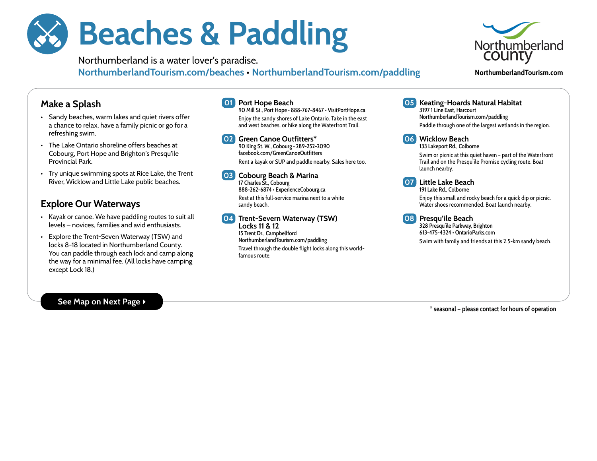# Beaches & Paddling

Northumberland is a water lover's paradise. [NorthumberlandTourism.com/beaches](http://NorthumberlandTourism.com/beaches) • [NorthumberlandTourism.com/paddling](http://NorthumberlandTourism.com/paddling)



**NorthumberlandTourism.com**

## Make a Splash

- Sandy beaches, warm lakes and quiet rivers offer a chance to relax, have a family picnic or go for a refreshing swim.
- The Lake Ontario shoreline offers beaches at Cobourg, Port Hope and Brighton's Presqu'ile Provincial Park.
- Try unique swimming spots at Rice Lake, the Trent River, Wicklow and Little Lake public beaches.

# Explore Our Waterways

- Kayak or canoe. We have paddling routes to suit all levels – novices, families and avid enthusiasts.
- Explore the Trent-Seven Waterway (TSW) and locks 8-18 located in Northumberland County. You can paddle through each lock and camp along the way for a minimal fee. (All locks have camping except Lock 18.)

## 01 Port Hope Beach

90 Mill St., Port Hope • 888-767-8467 • [VisitPortHope.ca](http://VisitPortHope.ca) Enjoy the sandy shores of Lake Ontario. Take in the east and west beaches, or hike along the Waterfront Trail.

02 Green Canoe Outfitters\* 90 King St. W., Cobourg • 289-252-2090 [facebook.com/GreenCanoeOutfitters](http://facebook.com/GreenCanoeOutfitters) Rent a kayak or SUP and paddle nearby. Sales here too.

03 Cobourg Beach & Marina 17 Charles St., Cobourg 888-262-6874 • [ExperienceCobourg.ca](http://ExperienceCobourg.ca) Rest at this full-service marina next to a white sandy beach.

04 Trent-Severn Waterway (TSW) Locks 11 & 12 15 Trent Dr., Campbellford [NorthumberlandTourism.com/paddling](http://NorthumberlandTourism.com/paddling) Travel through the double flight locks along this worldfamous route.

05 Keating-Hoards Natural Habitat

3197 1 Line East, Harcourt [NorthumberlandTourism.com/paddling](http://NorthumberlandTourism.com/paddling) Paddle through one of the largest wetlands in the region.



#### 06 Wicklow Beach

133 Lakeport Rd., Colborne Swim or picnic at this quiet haven – part of the Waterfront Trail and on the Presqu'ile Promise cycling route. Boat launch nearby.



#### 07 Little Lake Beach 191 Lake Rd., Colborne

Enjoy this small and rocky beach for a quick dip or picnic. Water shoes recommended. Boat launch nearby.

08 Presqu'ile Beach

328 Presqu'ile Parkway, Brighton 613-475-4324 • [OntarioParks.com](http://OntarioParks.com) Swim with family and friends at this 2.5-km sandy beach.

#### See Map on Next Page ▶

**\* seasonal — please contact for hours of operation**